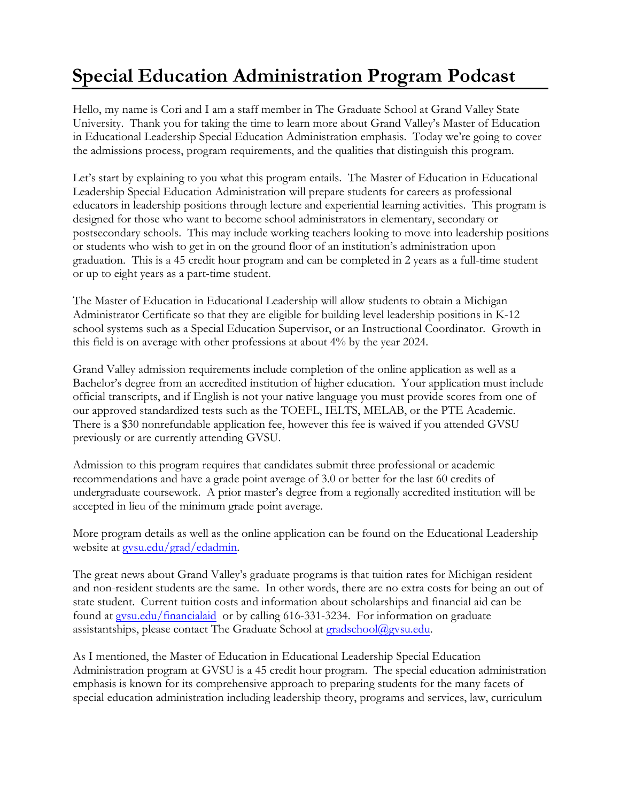## **Special Education Administration Program Podcast**

Hello, my name is Cori and I am a staff member in The Graduate School at Grand Valley State University. Thank you for taking the time to learn more about Grand Valley's Master of Education in Educational Leadership Special Education Administration emphasis. Today we're going to cover the admissions process, program requirements, and the qualities that distinguish this program.

Let's start by explaining to you what this program entails. The Master of Education in Educational Leadership Special Education Administration will prepare students for careers as professional educators in leadership positions through lecture and experiential learning activities. This program is designed for those who want to become school administrators in elementary, secondary or postsecondary schools. This may include working teachers looking to move into leadership positions or students who wish to get in on the ground floor of an institution's administration upon graduation. This is a 45 credit hour program and can be completed in 2 years as a full-time student or up to eight years as a part-time student.

The Master of Education in Educational Leadership will allow students to obtain a Michigan Administrator Certificate so that they are eligible for building level leadership positions in K-12 school systems such as a Special Education Supervisor, or an Instructional Coordinator. Growth in this field is on average with other professions at about 4% by the year 2024.

Grand Valley admission requirements include completion of the online application as well as a Bachelor's degree from an accredited institution of higher education. Your application must include official transcripts, and if English is not your native language you must provide scores from one of our approved standardized tests such as the TOEFL, IELTS, MELAB, or the PTE Academic. There is a \$30 nonrefundable application fee, however this fee is waived if you attended GVSU previously or are currently attending GVSU.

Admission to this program requires that candidates submit three professional or academic recommendations and have a grade point average of 3.0 or better for the last 60 credits of undergraduate coursework. A prior master's degree from a regionally accredited institution will be accepted in lieu of the minimum grade point average.

More program details as well as the online application can be found on the Educational Leadership website at [gvsu.edu/grad/](http://www.gvsu.edu/grad/edadmin)edadmin.

The great news about Grand Valley's graduate programs is that tuition rates for Michigan resident and non-resident students are the same. In other words, there are no extra costs for being an out of state student. Current tuition costs and information about scholarships and financial aid can be found at [gvsu.edu/financialaid](http://www.gvsu.edu/financialaid) or by calling 616-331-3234. For information on graduate assistantships, please contact The Graduate School at [gradschool@gvsu.edu.](mailto:gradschool@gvsu.edu)

As I mentioned, the Master of Education in Educational Leadership Special Education Administration program at GVSU is a 45 credit hour program. The special education administration emphasis is known for its comprehensive approach to preparing students for the many facets of special education administration including leadership theory, programs and services, law, curriculum